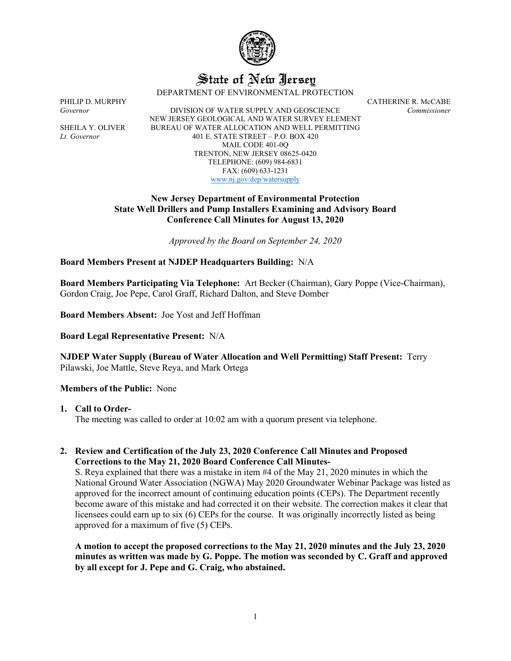

# State of New Jersey

DEPARTMENT OF ENVIRONMENTAL PROTECTION

*Governor* DIVISION OF WATER SUPPLY AND GEOSCIENCE *Commissioner* NEW JERSEY GEOLOGICAL AND WATER SURVEY ELEMENT SHEILA Y. OLIVER BUREAU OF WATER ALLOCATION AND WELL PERMITTING *Lt. Governor* 401 E. STATE STREET – P.O. BOX 420 MAIL CODE 401-0Q TRENTON, NEW JERSEY 08625-0420 TELEPHONE: (609) 984-6831 FAX: (609) 633-1231 [www.nj.gov/dep/watersupply](http://www.nj.gov/dep/watersupply)

PHILIP D. MURPHY CATHERINE R. McCABE

# **New Jersey Department of Environmental Protection State Well Drillers and Pump Installers Examining and Advisory Board Conference Call Minutes for August 13, 2020**

*Approved by the Board on September 24, 2020*

# **Board Members Present at NJDEP Headquarters Building:** N/A

**Board Members Participating Via Telephone:** Art Becker (Chairman), Gary Poppe (Vice-Chairman), Gordon Craig, Joe Pepe, Carol Graff, Richard Dalton, and Steve Domber

**Board Members Absent:** Joe Yost and Jeff Hoffman

**Board Legal Representative Present:** N/A

**NJDEP Water Supply (Bureau of Water Allocation and Well Permitting) Staff Present:** Terry Pilawski, Joe Mattle, Steve Reya, and Mark Ortega

#### **Members of the Public:** None

#### **1. Call to Order-**

The meeting was called to order at 10:02 am with a quorum present via telephone.

# **2. Review and Certification of the July 23, 2020 Conference Call Minutes and Proposed Corrections to the May 21, 2020 Board Conference Call Minutes-**

S. Reya explained that there was a mistake in item #4 of the May 21, 2020 minutes in which the National Ground Water Association (NGWA) May 2020 Groundwater Webinar Package was listed as approved for the incorrect amount of continuing education points (CEPs). The Department recently become aware of this mistake and had corrected it on their website. The correction makes it clear that licensees could earn up to six (6) CEPs for the course. It was originally incorrectly listed as being approved for a maximum of five (5) CEPs.

**A motion to accept the proposed corrections to the May 21, 2020 minutes and the July 23, 2020 minutes as written was made by G. Poppe. The motion was seconded by C. Graff and approved by all except for J. Pepe and G. Craig, who abstained.**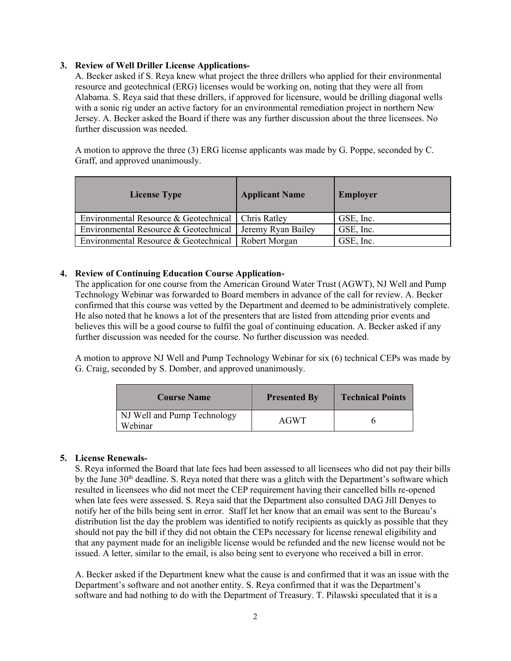# **3. Review of Well Driller License Applications-**

A. Becker asked if S. Reya knew what project the three drillers who applied for their environmental resource and geotechnical (ERG) licenses would be working on, noting that they were all from Alabama. S. Reya said that these drillers, if approved for licensure, would be drilling diagonal wells with a sonic rig under an active factory for an environmental remediation project in northern New Jersey. A. Becker asked the Board if there was any further discussion about the three licensees. No further discussion was needed.

A motion to approve the three (3) ERG license applicants was made by G. Poppe, seconded by C. Graff, and approved unanimously.

| <b>License Type</b>                                   | <b>Applicant Name</b> | <b>Employer</b> |
|-------------------------------------------------------|-----------------------|-----------------|
| Environmental Resource & Geotechnical   Chris Ratley  |                       | GSE, Inc.       |
| Environmental Resource & Geotechnical                 | Jeremy Ryan Bailey    | GSE, Inc.       |
| Environmental Resource & Geotechnical   Robert Morgan |                       | GSE, Inc.       |

## **4. Review of Continuing Education Course Application-**

The application for one course from the American Ground Water Trust (AGWT), NJ Well and Pump Technology Webinar was forwarded to Board members in advance of the call for review. A. Becker confirmed that this course was vetted by the Department and deemed to be administratively complete. He also noted that he knows a lot of the presenters that are listed from attending prior events and believes this will be a good course to fulfil the goal of continuing education. A. Becker asked if any further discussion was needed for the course. No further discussion was needed.

A motion to approve NJ Well and Pump Technology Webinar for six (6) technical CEPs was made by G. Craig, seconded by S. Domber, and approved unanimously.

| <b>Course Name</b>                     | <b>Presented By</b> | <b>Technical Points</b> |
|----------------------------------------|---------------------|-------------------------|
| NJ Well and Pump Technology<br>Webinar | AGWT                |                         |

#### **5. License Renewals-**

S. Reya informed the Board that late fees had been assessed to all licensees who did not pay their bills by the June 30<sup>th</sup> deadline. S. Reya noted that there was a glitch with the Department's software which resulted in licensees who did not meet the CEP requirement having their cancelled bills re-opened when late fees were assessed. S. Reya said that the Department also consulted DAG Jill Denyes to notify her of the bills being sent in error. Staff let her know that an email was sent to the Bureau's distribution list the day the problem was identified to notify recipients as quickly as possible that they should not pay the bill if they did not obtain the CEPs necessary for license renewal eligibility and that any payment made for an ineligible license would be refunded and the new license would not be issued. A letter, similar to the email, is also being sent to everyone who received a bill in error.

A. Becker asked if the Department knew what the cause is and confirmed that it was an issue with the Department's software and not another entity. S. Reya confirmed that it was the Department's software and had nothing to do with the Department of Treasury. T. Pilawski speculated that it is a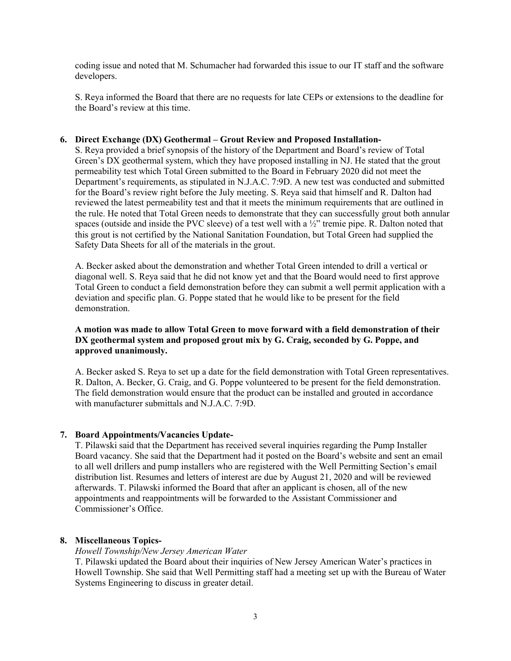coding issue and noted that M. Schumacher had forwarded this issue to our IT staff and the software developers.

S. Reya informed the Board that there are no requests for late CEPs or extensions to the deadline for the Board's review at this time.

## **6. Direct Exchange (DX) Geothermal – Grout Review and Proposed Installation-**

S. Reya provided a brief synopsis of the history of the Department and Board's review of Total Green's DX geothermal system, which they have proposed installing in NJ. He stated that the grout permeability test which Total Green submitted to the Board in February 2020 did not meet the Department's requirements, as stipulated in N.J.A.C. 7:9D. A new test was conducted and submitted for the Board's review right before the July meeting. S. Reya said that himself and R. Dalton had reviewed the latest permeability test and that it meets the minimum requirements that are outlined in the rule. He noted that Total Green needs to demonstrate that they can successfully grout both annular spaces (outside and inside the PVC sleeve) of a test well with a  $\frac{1}{2}$ " tremie pipe. R. Dalton noted that this grout is not certified by the National Sanitation Foundation, but Total Green had supplied the Safety Data Sheets for all of the materials in the grout.

A. Becker asked about the demonstration and whether Total Green intended to drill a vertical or diagonal well. S. Reya said that he did not know yet and that the Board would need to first approve Total Green to conduct a field demonstration before they can submit a well permit application with a deviation and specific plan. G. Poppe stated that he would like to be present for the field demonstration.

# **A motion was made to allow Total Green to move forward with a field demonstration of their DX geothermal system and proposed grout mix by G. Craig, seconded by G. Poppe, and approved unanimously.**

A. Becker asked S. Reya to set up a date for the field demonstration with Total Green representatives. R. Dalton, A. Becker, G. Craig, and G. Poppe volunteered to be present for the field demonstration. The field demonstration would ensure that the product can be installed and grouted in accordance with manufacturer submittals and N.J.A.C. 7:9D.

#### **7. Board Appointments/Vacancies Update-**

T. Pilawski said that the Department has received several inquiries regarding the Pump Installer Board vacancy. She said that the Department had it posted on the Board's website and sent an email to all well drillers and pump installers who are registered with the Well Permitting Section's email distribution list. Resumes and letters of interest are due by August 21, 2020 and will be reviewed afterwards. T. Pilawski informed the Board that after an applicant is chosen, all of the new appointments and reappointments will be forwarded to the Assistant Commissioner and Commissioner's Office.

#### **8. Miscellaneous Topics-**

## *Howell Township/New Jersey American Water*

T. Pilawski updated the Board about their inquiries of New Jersey American Water's practices in Howell Township. She said that Well Permitting staff had a meeting set up with the Bureau of Water Systems Engineering to discuss in greater detail.